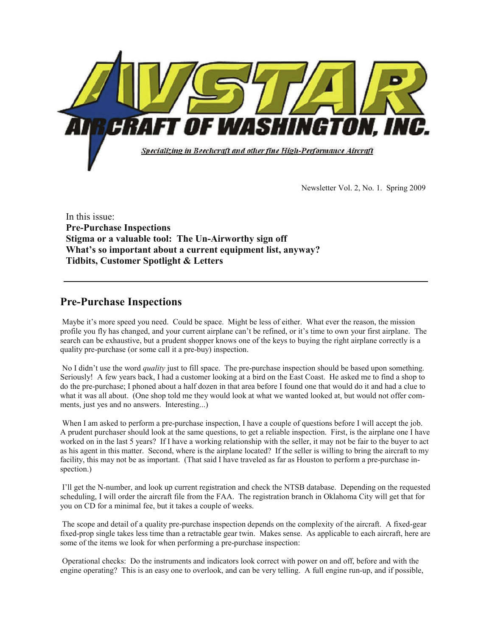

Newsletter Vol. 2, No. 1. Spring 2009

In this issue: **Pre-Purchase Inspections Stigma or a valuable tool: The Un-Airworthy sign off What's so important about a current equipment list, anyway? Tidbits, Customer Spotlight & Letters** 

## **Pre-Purchase Inspections**

 Maybe it's more speed you need. Could be space. Might be less of either. What ever the reason, the mission profile you fly has changed, and your current airplane can't be refined, or it's time to own your first airplane. The search can be exhaustive, but a prudent shopper knows one of the keys to buying the right airplane correctly is a quality pre-purchase (or some call it a pre-buy) inspection.

 No I didn't use the word *quality* just to fill space. The pre-purchase inspection should be based upon something. Seriously! A few years back, I had a customer looking at a bird on the East Coast. He asked me to find a shop to do the pre-purchase; I phoned about a half dozen in that area before I found one that would do it and had a clue to what it was all about. (One shop told me they would look at what we wanted looked at, but would not offer comments, just yes and no answers. Interesting...)

When I am asked to perform a pre-purchase inspection, I have a couple of questions before I will accept the job. A prudent purchaser should look at the same questions, to get a reliable inspection. First, is the airplane one I have worked on in the last 5 years? If I have a working relationship with the seller, it may not be fair to the buyer to act as his agent in this matter. Second, where is the airplane located? If the seller is willing to bring the aircraft to my facility, this may not be as important. (That said I have traveled as far as Houston to perform a pre-purchase inspection.)

 I'll get the N-number, and look up current registration and check the NTSB database. Depending on the requested scheduling, I will order the aircraft file from the FAA. The registration branch in Oklahoma City will get that for you on CD for a minimal fee, but it takes a couple of weeks.

 The scope and detail of a quality pre-purchase inspection depends on the complexity of the aircraft. A fixed-gear fixed-prop single takes less time than a retractable gear twin. Makes sense. As applicable to each aircraft, here are some of the items we look for when performing a pre-purchase inspection:

 Operational checks: Do the instruments and indicators look correct with power on and off, before and with the engine operating? This is an easy one to overlook, and can be very telling. A full engine run-up, and if possible,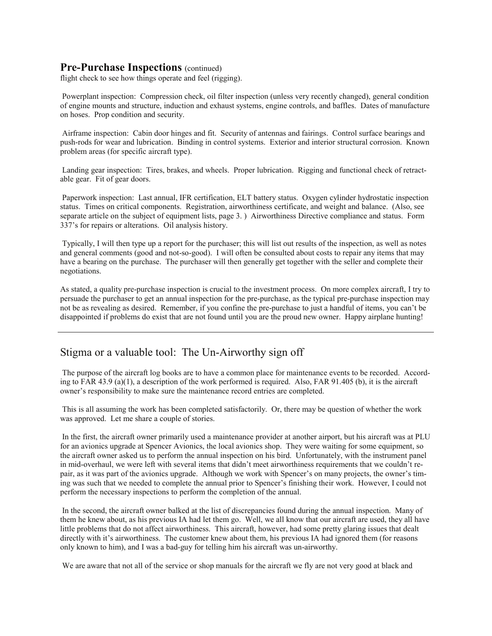#### **Pre-Purchase Inspections** (continued)

flight check to see how things operate and feel (rigging).

 Powerplant inspection: Compression check, oil filter inspection (unless very recently changed), general condition of engine mounts and structure, induction and exhaust systems, engine controls, and baffles. Dates of manufacture on hoses. Prop condition and security.

 Airframe inspection: Cabin door hinges and fit. Security of antennas and fairings. Control surface bearings and push-rods for wear and lubrication. Binding in control systems. Exterior and interior structural corrosion. Known problem areas (for specific aircraft type).

 Landing gear inspection: Tires, brakes, and wheels. Proper lubrication. Rigging and functional check of retractable gear. Fit of gear doors.

 Paperwork inspection: Last annual, IFR certification, ELT battery status. Oxygen cylinder hydrostatic inspection status. Times on critical components. Registration, airworthiness certificate, and weight and balance. (Also, see separate article on the subject of equipment lists, page 3. ) Airworthiness Directive compliance and status. Form 337's for repairs or alterations. Oil analysis history.

 Typically, I will then type up a report for the purchaser; this will list out results of the inspection, as well as notes and general comments (good and not-so-good). I will often be consulted about costs to repair any items that may have a bearing on the purchase. The purchaser will then generally get together with the seller and complete their negotiations.

As stated, a quality pre-purchase inspection is crucial to the investment process. On more complex aircraft, I try to persuade the purchaser to get an annual inspection for the pre-purchase, as the typical pre-purchase inspection may not be as revealing as desired. Remember, if you confine the pre-purchase to just a handful of items, you can't be disappointed if problems do exist that are not found until you are the proud new owner. Happy airplane hunting!

## Stigma or a valuable tool: The Un-Airworthy sign off

 The purpose of the aircraft log books are to have a common place for maintenance events to be recorded. According to FAR 43.9 (a)(1), a description of the work performed is required. Also, FAR 91.405 (b), it is the aircraft owner's responsibility to make sure the maintenance record entries are completed.

 This is all assuming the work has been completed satisfactorily. Or, there may be question of whether the work was approved. Let me share a couple of stories.

 In the first, the aircraft owner primarily used a maintenance provider at another airport, but his aircraft was at PLU for an avionics upgrade at Spencer Avionics, the local avionics shop. They were waiting for some equipment, so the aircraft owner asked us to perform the annual inspection on his bird. Unfortunately, with the instrument panel in mid-overhaul, we were left with several items that didn't meet airworthiness requirements that we couldn't repair, as it was part of the avionics upgrade. Although we work with Spencer's on many projects, the owner's timing was such that we needed to complete the annual prior to Spencer's finishing their work. However, I could not perform the necessary inspections to perform the completion of the annual.

 In the second, the aircraft owner balked at the list of discrepancies found during the annual inspection. Many of them he knew about, as his previous IA had let them go. Well, we all know that our aircraft are used, they all have little problems that do not affect airworthiness. This aircraft, however, had some pretty glaring issues that dealt directly with it's airworthiness. The customer knew about them, his previous IA had ignored them (for reasons only known to him), and I was a bad-guy for telling him his aircraft was un-airworthy.

We are aware that not all of the service or shop manuals for the aircraft we fly are not very good at black and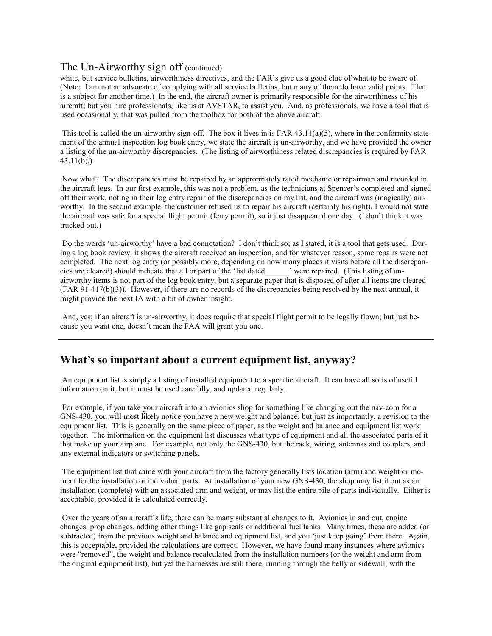#### The Un-Airworthy sign off (continued)

white, but service bulletins, airworthiness directives, and the FAR's give us a good clue of what to be aware of. (Note: I am not an advocate of complying with all service bulletins, but many of them do have valid points. That is a subject for another time.) In the end, the aircraft owner is primarily responsible for the airworthiness of his aircraft; but you hire professionals, like us at AVSTAR, to assist you. And, as professionals, we have a tool that is used occasionally, that was pulled from the toolbox for both of the above aircraft.

This tool is called the un-airworthy sign-off. The box it lives in is FAR  $43.11(a)(5)$ , where in the conformity statement of the annual inspection log book entry, we state the aircraft is un-airworthy, and we have provided the owner a listing of the un-airworthy discrepancies. (The listing of airworthiness related discrepancies is required by FAR 43.11(b).)

 Now what? The discrepancies must be repaired by an appropriately rated mechanic or repairman and recorded in the aircraft logs. In our first example, this was not a problem, as the technicians at Spencer's completed and signed off their work, noting in their log entry repair of the discrepancies on my list, and the aircraft was (magically) airworthy. In the second example, the customer refused us to repair his aircraft (certainly his right), I would not state the aircraft was safe for a special flight permit (ferry permit), so it just disappeared one day. (I don't think it was trucked out.)

 Do the words 'un-airworthy' have a bad connotation? I don't think so; as I stated, it is a tool that gets used. During a log book review, it shows the aircraft received an inspection, and for whatever reason, some repairs were not completed. The next log entry (or possibly more, depending on how many places it visits before all the discrepancies are cleared) should indicate that all or part of the 'list dated\_\_\_\_\_\_' were repaired. (This listing of unairworthy items is not part of the log book entry, but a separate paper that is disposed of after all items are cleared (FAR 91-417(b)(3)). However, if there are no records of the discrepancies being resolved by the next annual, it might provide the next IA with a bit of owner insight.

 And, yes; if an aircraft is un-airworthy, it does require that special flight permit to be legally flown; but just because you want one, doesn't mean the FAA will grant you one.

## **What's so important about a current equipment list, anyway?**

 An equipment list is simply a listing of installed equipment to a specific aircraft. It can have all sorts of useful information on it, but it must be used carefully, and updated regularly.

 For example, if you take your aircraft into an avionics shop for something like changing out the nav-com for a GNS-430, you will most likely notice you have a new weight and balance, but just as importantly, a revision to the equipment list. This is generally on the same piece of paper, as the weight and balance and equipment list work together. The information on the equipment list discusses what type of equipment and all the associated parts of it that make up your airplane. For example, not only the GNS-430, but the rack, wiring, antennas and couplers, and any external indicators or switching panels.

 The equipment list that came with your aircraft from the factory generally lists location (arm) and weight or moment for the installation or individual parts. At installation of your new GNS-430, the shop may list it out as an installation (complete) with an associated arm and weight, or may list the entire pile of parts individually. Either is acceptable, provided it is calculated correctly.

 Over the years of an aircraft's life, there can be many substantial changes to it. Avionics in and out, engine changes, prop changes, adding other things like gap seals or additional fuel tanks. Many times, these are added (or subtracted) from the previous weight and balance and equipment list, and you 'just keep going' from there. Again, this is acceptable, provided the calculations are correct. However, we have found many instances where avionics were "removed", the weight and balance recalculated from the installation numbers (or the weight and arm from the original equipment list), but yet the harnesses are still there, running through the belly or sidewall, with the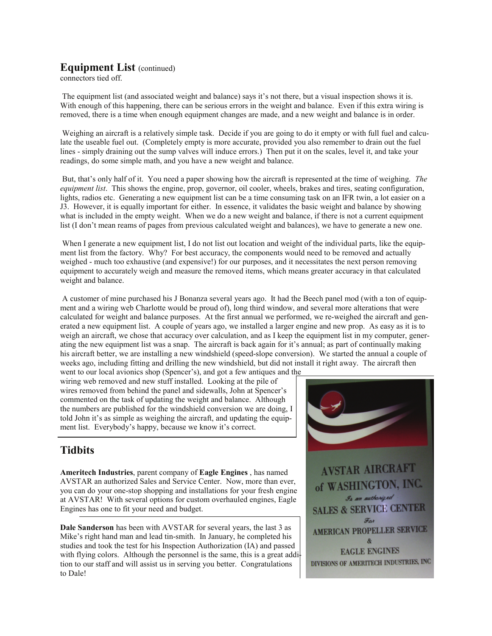## **Equipment List** (continued)

connectors tied off.

 The equipment list (and associated weight and balance) says it's not there, but a visual inspection shows it is. With enough of this happening, there can be serious errors in the weight and balance. Even if this extra wiring is removed, there is a time when enough equipment changes are made, and a new weight and balance is in order.

 Weighing an aircraft is a relatively simple task. Decide if you are going to do it empty or with full fuel and calculate the useable fuel out. (Completely empty is more accurate, provided you also remember to drain out the fuel lines - simply draining out the sump valves will induce errors.) Then put it on the scales, level it, and take your readings, do some simple math, and you have a new weight and balance.

 But, that's only half of it. You need a paper showing how the aircraft is represented at the time of weighing. *The equipment list*. This shows the engine, prop, governor, oil cooler, wheels, brakes and tires, seating configuration, lights, radios etc. Generating a new equipment list can be a time consuming task on an IFR twin, a lot easier on a J3. However, it is equally important for either. In essence, it validates the basic weight and balance by showing what is included in the empty weight. When we do a new weight and balance, if there is not a current equipment list (I don't mean reams of pages from previous calculated weight and balances), we have to generate a new one.

When I generate a new equipment list, I do not list out location and weight of the individual parts, like the equipment list from the factory. Why? For best accuracy, the components would need to be removed and actually weighed - much too exhaustive (and expensive!) for our purposes, and it necessitates the next person removing equipment to accurately weigh and measure the removed items, which means greater accuracy in that calculated weight and balance.

 A customer of mine purchased his J Bonanza several years ago. It had the Beech panel mod (with a ton of equipment and a wiring web Charlotte would be proud of), long third window, and several more alterations that were calculated for weight and balance purposes. At the first annual we performed, we re-weighed the aircraft and generated a new equipment list. A couple of years ago, we installed a larger engine and new prop. As easy as it is to weigh an aircraft, we chose that accuracy over calculation, and as I keep the equipment list in my computer, generating the new equipment list was a snap. The aircraft is back again for it's annual; as part of continually making his aircraft better, we are installing a new windshield (speed-slope conversion). We started the annual a couple of weeks ago, including fitting and drilling the new windshield, but did not install it right away. The aircraft then went to our local avionics shop (Spencer's), and got a few antiques and the

wiring web removed and new stuff installed. Looking at the pile of wires removed from behind the panel and sidewalls, John at Spencer's commented on the task of updating the weight and balance. Although the numbers are published for the windshield conversion we are doing, I told John it's as simple as weighing the aircraft, and updating the equipment list. Everybody's happy, because we know it's correct.

# **Tidbits**

**Ameritech Industries**, parent company of **Eagle Engines** , has named AVSTAR an authorized Sales and Service Center. Now, more than ever, you can do your one-stop shopping and installations for your fresh engine at AVSTAR! With several options for custom overhauled engines, Eagle Engines has one to fit your need and budget.

**Dale Sanderson** has been with AVSTAR for several years, the last 3 as Mike's right hand man and lead tin-smith. In January, he completed his studies and took the test for his Inspection Authorization (IA) and passed with flying colors. Although the personnel is the same, this is a great addition to our staff and will assist us in serving you better. Congratulations to Dale!